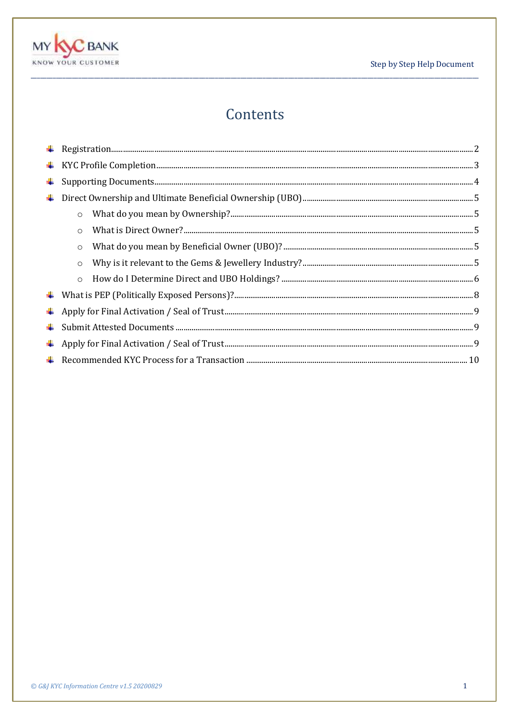



# Contents

| $\circ$ |  |
|---------|--|
| $\circ$ |  |
| $\circ$ |  |
| $\circ$ |  |
| $\circ$ |  |
|         |  |
|         |  |
|         |  |
|         |  |
|         |  |
|         |  |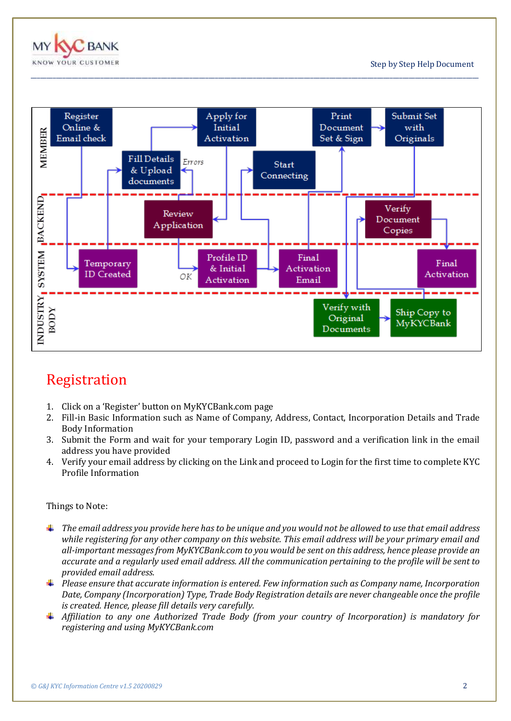



\_\_\_\_\_\_\_\_\_\_\_\_\_\_\_\_\_\_\_\_\_\_\_\_\_\_\_\_\_\_\_\_\_\_\_\_\_\_\_\_\_\_\_\_\_\_\_\_\_\_\_\_\_\_\_\_\_\_\_\_\_\_\_\_\_\_\_\_\_\_\_\_\_\_\_\_\_\_\_\_\_\_\_\_\_\_\_\_\_\_\_\_\_\_\_\_\_\_\_\_\_\_\_\_\_\_\_\_\_\_\_\_\_\_\_\_\_\_\_\_\_\_\_\_\_\_\_\_\_\_\_\_\_\_\_\_\_\_\_\_\_

# <span id="page-1-0"></span>Registration

- 1. Click on a 'Register' button on MyKYCBank.com page
- 2. Fill-in Basic Information such as Name of Company, Address, Contact, Incorporation Details and Trade Body Information
- 3. Submit the Form and wait for your temporary Login ID, password and a verification link in the email address you have provided
- 4. Verify your email address by clicking on the Link and proceed to Login for the first time to complete KYC Profile Information

#### Things to Note:

- *The email address you provide here has to be unique and you would not be allowed to use that email address while registering for any other company on this website. This email address will be your primary email and all-important messages from MyKYCBank.com to you would be sent on this address, hence please provide an accurate and a regularly used email address. All the communication pertaining to the profile will be sent to provided email address.*
- *Please ensure that accurate information is entered. Few information such as Company name, Incorporation Date, Company (Incorporation) Type, Trade Body Registration details are never changeable once the profile is created. Hence, please fill details very carefully.*
- *Affiliation to any one Authorized Trade Body (from your country of Incorporation) is mandatory for registering and using MyKYCBank.com*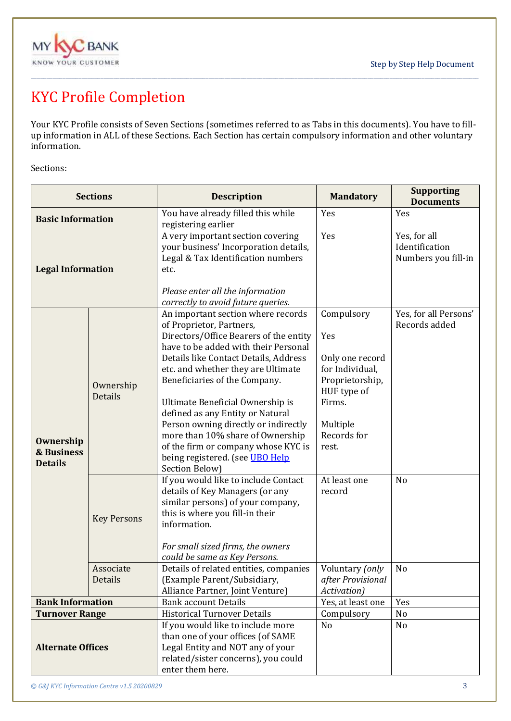



# <span id="page-2-0"></span>KYC Profile Completion

Your KYC Profile consists of Seven Sections (sometimes referred to as Tabs in this documents). You have to fillup information in ALL of these Sections. Each Section has certain compulsory information and other voluntary information.

\_\_\_\_\_\_\_\_\_\_\_\_\_\_\_\_\_\_\_\_\_\_\_\_\_\_\_\_\_\_\_\_\_\_\_\_\_\_\_\_\_\_\_\_\_\_\_\_\_\_\_\_\_\_\_\_\_\_\_\_\_\_\_\_\_\_\_\_\_\_\_\_\_\_\_\_\_\_\_\_\_\_\_\_\_\_\_\_\_\_\_\_\_\_\_\_\_\_\_\_\_\_\_\_\_\_\_\_\_\_\_\_\_\_\_\_\_\_\_\_\_\_\_\_\_\_\_\_\_\_\_\_\_\_\_\_\_\_\_\_\_

Sections:

| <b>Sections</b>                                             |                      | <b>Description</b>                                                                                                                                                                                                                                                                                                                                                                                                                                                                                               | <b>Mandatory</b>                                                                                                                        | <b>Supporting</b><br><b>Documents</b>                 |
|-------------------------------------------------------------|----------------------|------------------------------------------------------------------------------------------------------------------------------------------------------------------------------------------------------------------------------------------------------------------------------------------------------------------------------------------------------------------------------------------------------------------------------------------------------------------------------------------------------------------|-----------------------------------------------------------------------------------------------------------------------------------------|-------------------------------------------------------|
| <b>Basic Information</b>                                    |                      | You have already filled this while<br>registering earlier                                                                                                                                                                                                                                                                                                                                                                                                                                                        | Yes                                                                                                                                     | Yes                                                   |
| <b>Legal Information</b>                                    |                      | A very important section covering<br>your business' Incorporation details,<br>Legal & Tax Identification numbers<br>etc.<br>Please enter all the information                                                                                                                                                                                                                                                                                                                                                     | Yes                                                                                                                                     | Yes, for all<br>Identification<br>Numbers you fill-in |
|                                                             |                      | correctly to avoid future queries.                                                                                                                                                                                                                                                                                                                                                                                                                                                                               |                                                                                                                                         |                                                       |
| <b>Ownership</b><br><b>&amp; Business</b><br><b>Details</b> | Ownership<br>Details | An important section where records<br>of Proprietor, Partners,<br>Directors/Office Bearers of the entity<br>have to be added with their Personal<br>Details like Contact Details, Address<br>etc. and whether they are Ultimate<br>Beneficiaries of the Company.<br>Ultimate Beneficial Ownership is<br>defined as any Entity or Natural<br>Person owning directly or indirectly<br>more than 10% share of Ownership<br>of the firm or company whose KYC is<br>being registered. (see UBO Help<br>Section Below) | Compulsory<br>Yes<br>Only one record<br>for Individual,<br>Proprietorship,<br>HUF type of<br>Firms.<br>Multiple<br>Records for<br>rest. | Yes, for all Persons'<br>Records added                |
|                                                             | <b>Key Persons</b>   | If you would like to include Contact<br>details of Key Managers (or any<br>similar persons) of your company,<br>this is where you fill-in their<br>information.<br>For small sized firms, the owners<br>could be same as Key Persons.                                                                                                                                                                                                                                                                            | At least one<br>record                                                                                                                  | N <sub>o</sub>                                        |
|                                                             | Associate<br>Details | Details of related entities, companies<br>(Example Parent/Subsidiary,<br>Alliance Partner, Joint Venture)                                                                                                                                                                                                                                                                                                                                                                                                        | Voluntary (only<br>after Provisional<br>Activation)                                                                                     | No                                                    |
| <b>Bank Information</b>                                     |                      | <b>Bank account Details</b>                                                                                                                                                                                                                                                                                                                                                                                                                                                                                      | Yes, at least one                                                                                                                       | Yes                                                   |
| <b>Turnover Range</b>                                       |                      | <b>Historical Turnover Details</b>                                                                                                                                                                                                                                                                                                                                                                                                                                                                               | Compulsory                                                                                                                              | No                                                    |
| <b>Alternate Offices</b>                                    |                      | If you would like to include more<br>than one of your offices (of SAME<br>Legal Entity and NOT any of your<br>related/sister concerns), you could<br>enter them here.                                                                                                                                                                                                                                                                                                                                            | N <sub>o</sub>                                                                                                                          | No                                                    |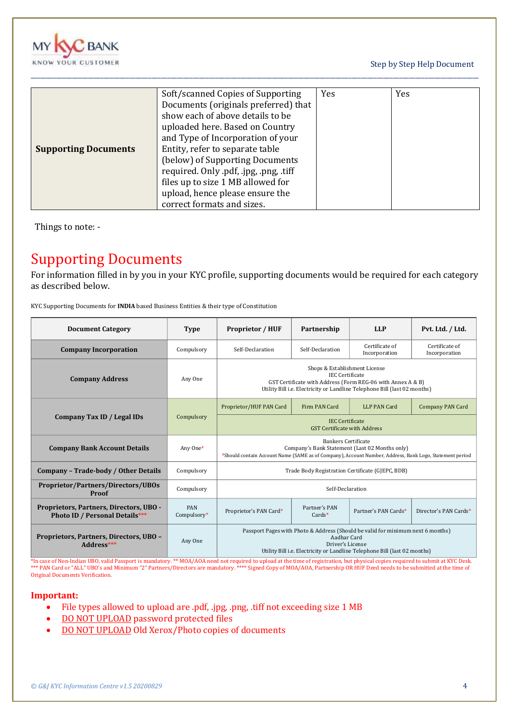

Step by Step Help Document

|                             | Soft/scanned Copies of Supporting      | Yes | Yes |
|-----------------------------|----------------------------------------|-----|-----|
|                             | Documents (originals preferred) that   |     |     |
|                             | show each of above details to be       |     |     |
|                             | uploaded here. Based on Country        |     |     |
|                             | and Type of Incorporation of your      |     |     |
| <b>Supporting Documents</b> | Entity, refer to separate table        |     |     |
|                             | (below) of Supporting Documents        |     |     |
|                             | required. Only .pdf, .jpg, .png, .tiff |     |     |
|                             | files up to size 1 MB allowed for      |     |     |
|                             | upload, hence please ensure the        |     |     |
|                             | correct formats and sizes.             |     |     |

\_\_\_\_\_\_\_\_\_\_\_\_\_\_\_\_\_\_\_\_\_\_\_\_\_\_\_\_\_\_\_\_\_\_\_\_\_\_\_\_\_\_\_\_\_\_\_\_\_\_\_\_\_\_\_\_\_\_\_\_\_\_\_\_\_\_\_\_\_\_\_\_\_\_\_\_\_\_\_\_\_\_\_\_\_\_\_\_\_\_\_\_\_\_\_\_\_\_\_\_\_\_\_\_\_\_\_\_\_\_\_\_\_\_\_\_\_\_\_\_\_\_\_\_\_\_\_\_\_\_\_\_\_\_\_\_\_\_\_\_\_

<span id="page-3-0"></span>Things to note: -

### Supporting Documents

For information filled in by you in your KYC profile, supporting documents would be required for each category as described below.

KYC Supporting Documents for **INDIA** based Business Entities & their type of Constitution

| <b>Document Category</b>                                                         | <b>Type</b>        | <b>Proprietor / HUF</b>                                                                                                                                                                             | Partnership               | <b>LLP</b>                      | Pvt. Ltd. / Ltd.                |  |
|----------------------------------------------------------------------------------|--------------------|-----------------------------------------------------------------------------------------------------------------------------------------------------------------------------------------------------|---------------------------|---------------------------------|---------------------------------|--|
| <b>Company Incorporation</b>                                                     | Compulsory         | Self-Declaration                                                                                                                                                                                    | Self-Declaration          | Certificate of<br>Incorporation | Certificate of<br>Incorporation |  |
| <b>Company Address</b>                                                           | Any One            | Shops & Establishment License<br><b>IEC</b> Certificate<br>GST Certificate with Address (Form REG-06 with Annex A & B)<br>Utility Bill i.e. Electricity or Landline Telephone Bill (last 02 months) |                           |                                 |                                 |  |
|                                                                                  |                    | Proprietor/HUF PAN Card                                                                                                                                                                             | Firm PAN Card             | <b>LLP PAN Card</b>             | <b>Company PAN Card</b>         |  |
| Company Tax ID / Legal IDs                                                       | Compulsory         |                                                                                                                                                                                                     |                           |                                 |                                 |  |
| <b>Company Bank Account Details</b>                                              | Any One#           | <b>Bankers Certificate</b><br>Company's Bank Statement (Last 02 Months only)<br>#Should contain Account Name (SAME as of Company), Account Number, Address, Bank Logo, Statement period             |                           |                                 |                                 |  |
| Company - Trade-body / Other Details                                             | Compulsory         | Trade Body Registration Certificate (GJEPC, BDB)                                                                                                                                                    |                           |                                 |                                 |  |
| <b>Proprietor/Partners/Directors/UBOs</b><br>Proof                               | Compulsory         | Self-Declaration                                                                                                                                                                                    |                           |                                 |                                 |  |
| Proprietors, Partners, Directors, UBO -<br><b>Photo ID / Personal Details***</b> | PAN<br>Compulsory* | Proprietor's PAN Card*                                                                                                                                                                              | Partner's PAN<br>$Cards*$ | Partner's PAN Cards*            | Director's PAN Cards*           |  |
| Proprietors, Partners, Directors, UBO -<br>Address***                            | Any One            | Passport Pages with Photo & Address (Should be valid for minimum next 6 months)<br>Aadhar Card<br>Driver's License<br>Utility Bill i.e. Electricity or Landline Telephone Bill (last 02 months)     |                           |                                 |                                 |  |

\*In case of Non-Indian UBO, valid Passport is mandatory. \*\* MOA/AOA need not required to upload at the time of registration, but physical copies required to submit at KYC Desk.<br>\*\*\* PAN Card or "ALL" UBO's and Minimum "2" P Original Documents Verification.

#### **Important:**

- File types allowed to upload are .pdf, .jpg, .png, .tiff not exceeding size 1 MB
- DO NOT UPLOAD password protected files
- DO NOT UPLOAD Old Xerox/Photo copies of documents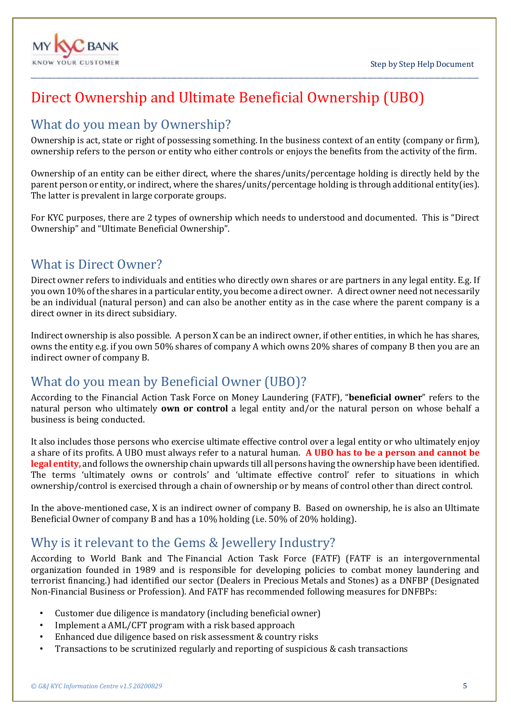

# <span id="page-4-0"></span>Direct Ownership and Ultimate Beneficial Ownership (UBO)

### <span id="page-4-1"></span>What do you mean by Ownership?

Ownership is act, state or right of possessing something. In the business context of an entity (company or firm), ownership refers to the person or entity who either controls or enjoys the benefits from the activity of the firm.

\_\_\_\_\_\_\_\_\_\_\_\_\_\_\_\_\_\_\_\_\_\_\_\_\_\_\_\_\_\_\_\_\_\_\_\_\_\_\_\_\_\_\_\_\_\_\_\_\_\_\_\_\_\_\_\_\_\_\_\_\_\_\_\_\_\_\_\_\_\_\_\_\_\_\_\_\_\_\_\_\_\_\_\_\_\_\_\_\_\_\_\_\_\_\_\_\_\_\_\_\_\_\_\_\_\_\_\_\_\_\_\_\_\_\_\_\_\_\_\_\_\_\_\_\_\_\_\_\_\_\_\_\_\_\_\_\_\_\_\_\_

Ownership of an entity can be either direct, where the shares/units/percentage holding is directly held by the parent person or entity, or indirect, where the shares/units/percentage holding is through additional entity(ies). The latter is prevalent in large corporate groups.

For KYC purposes, there are 2 types of ownership which needs to understood and documented. This is "Direct Ownership" and "Ultimate Beneficial Ownership".

#### <span id="page-4-2"></span>What is Direct Owner?

Direct owner refers to individuals and entities who directly own shares or are partners in any legal entity. E.g. If you own 10% of the shares in a particular entity, you become a direct owner. A direct owner need not necessarily be an individual (natural person) and can also be another entity as in the case where the parent company is a direct owner in its direct subsidiary.

Indirect ownership is also possible. A person X can be an indirect owner, if other entities, in which he has shares, owns the entity e.g. if you own 50% shares of company A which owns 20% shares of company B then you are an indirect owner of company B.

### <span id="page-4-3"></span>What do you mean by Beneficial Owner (UBO)?

According to the Financial Action Task Force on Money Laundering (FATF), "**beneficial owner**" refers to the natural person who ultimately **own or control** a legal entity and/or the natural person on whose behalf a business is being conducted.

It also includes those persons who exercise ultimate effective control over a legal entity or who ultimately enjoy a share of its profits. A UBO must always refer to a natural human. **A UBO has to be a person and cannot be legal entity,** and follows the ownership chain upwards till all persons having the ownership have been identified. The terms 'ultimately owns or controls' and 'ultimate effective control' refer to situations in which ownership/control is exercised through a chain of ownership or by means of control other than direct control.

In the above-mentioned case, X is an indirect owner of company B. Based on ownership, he is also an Ultimate Beneficial Owner of company B and has a 10% holding (i.e. 50% of 20% holding).

### <span id="page-4-4"></span>Why is it relevant to the Gems & Jewellery Industry?

According to World Bank and The Financial Action Task Force (FATF) (FATF is an intergovernmental organization founded in 1989 and is responsible for developing policies to combat money laundering and terrorist financing.) had identified our sector (Dealers in Precious Metals and Stones) as a DNFBP (Designated Non-Financial Business or Profession). And FATF has recommended following measures for DNFBPs:

- Customer due diligence is mandatory (including beneficial owner)
- Implement a AML/CFT program with a risk based approach
- Enhanced due diligence based on risk assessment & country risks
- Transactions to be scrutinized regularly and reporting of suspicious & cash transactions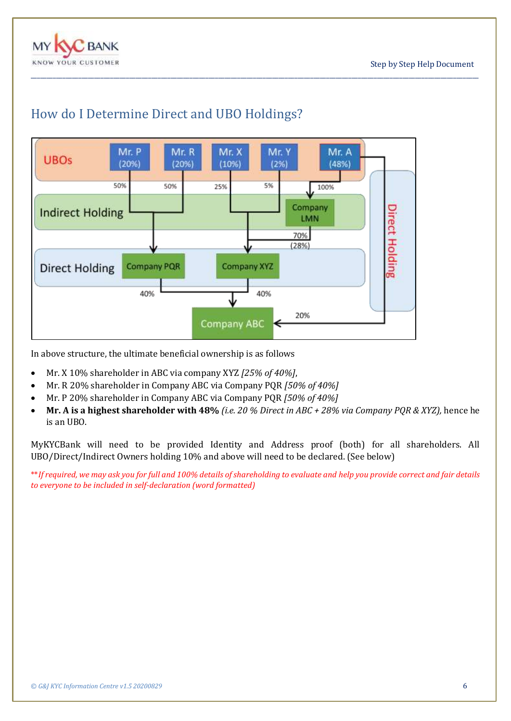



\_\_\_\_\_\_\_\_\_\_\_\_\_\_\_\_\_\_\_\_\_\_\_\_\_\_\_\_\_\_\_\_\_\_\_\_\_\_\_\_\_\_\_\_\_\_\_\_\_\_\_\_\_\_\_\_\_\_\_\_\_\_\_\_\_\_\_\_\_\_\_\_\_\_\_\_\_\_\_\_\_\_\_\_\_\_\_\_\_\_\_\_\_\_\_\_\_\_\_\_\_\_\_\_\_\_\_\_\_\_\_\_\_\_\_\_\_\_\_\_\_\_\_\_\_\_\_\_\_\_\_\_\_\_\_\_\_\_\_\_\_

### <span id="page-5-0"></span>How do I Determine Direct and UBO Holdings?

In above structure, the ultimate beneficial ownership is as follows

- Mr. X 10% shareholder in ABC via company XYZ *[25% of 40%]*,
- Mr. R 20% shareholder in Company ABC via Company PQR *[50% of 40%]*
- Mr. P 20% shareholder in Company ABC via Company PQR *[50% of 40%]*
- **Mr. A is a highest shareholder with 48%** *(i.e. 20 % Direct in ABC + 28% via Company PQR & XYZ),* hence he is an UBO.

MyKYCBank will need to be provided Identity and Address proof (both) for all shareholders. All UBO/Direct/Indirect Owners holding 10% and above will need to be declared. (See below)

\*\**If required, we may ask you for full and 100% details of shareholding to evaluate and help you provide correct and fair details to everyone to be included in self-declaration (word formatted)*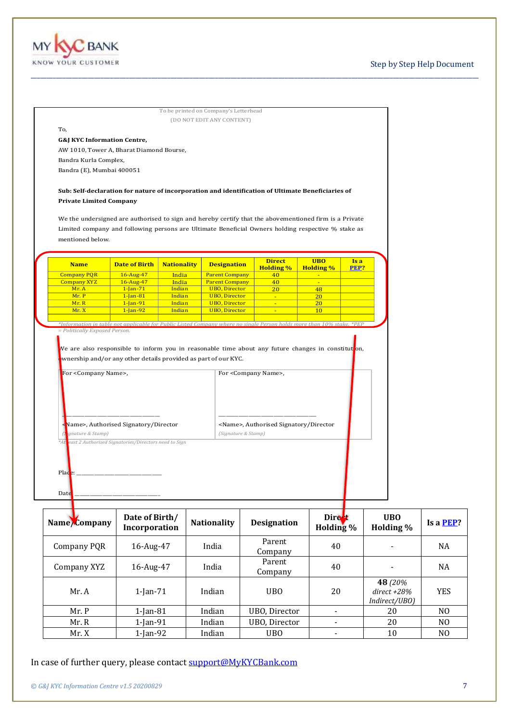

#### Step by Step Help Document

|                                                                                                                                                                                                                                                                                                                                                     |                                 |                    | (DO NOT EDIT ANY CONTENT)                    |                                                                                                                                                                                        |                                              |             |                                          |                   |
|-----------------------------------------------------------------------------------------------------------------------------------------------------------------------------------------------------------------------------------------------------------------------------------------------------------------------------------------------------|---------------------------------|--------------------|----------------------------------------------|----------------------------------------------------------------------------------------------------------------------------------------------------------------------------------------|----------------------------------------------|-------------|------------------------------------------|-------------------|
| To,                                                                                                                                                                                                                                                                                                                                                 |                                 |                    |                                              |                                                                                                                                                                                        |                                              |             |                                          |                   |
| <b>G&amp;J KYC Information Centre,</b>                                                                                                                                                                                                                                                                                                              |                                 |                    |                                              |                                                                                                                                                                                        |                                              |             |                                          |                   |
| AW 1010, Tower A, Bharat Diamond Bourse,                                                                                                                                                                                                                                                                                                            |                                 |                    |                                              |                                                                                                                                                                                        |                                              |             |                                          |                   |
| Bandra Kurla Complex,                                                                                                                                                                                                                                                                                                                               |                                 |                    |                                              |                                                                                                                                                                                        |                                              |             |                                          |                   |
| Bandra (E), Mumbai 400051                                                                                                                                                                                                                                                                                                                           |                                 |                    |                                              |                                                                                                                                                                                        |                                              |             |                                          |                   |
|                                                                                                                                                                                                                                                                                                                                                     |                                 |                    |                                              |                                                                                                                                                                                        |                                              |             |                                          |                   |
| Sub: Self-declaration for nature of incorporation and identification of Ultimate Beneficiaries of<br><b>Private Limited Company</b><br>We the undersigned are authorised to sign and hereby certify that the abovementioned firm is a Private<br>Limited company and following persons are Ultimate Beneficial Owners holding respective % stake as |                                 |                    |                                              |                                                                                                                                                                                        |                                              |             |                                          |                   |
| mentioned below.                                                                                                                                                                                                                                                                                                                                    |                                 |                    |                                              |                                                                                                                                                                                        |                                              |             |                                          |                   |
| <b>Name</b>                                                                                                                                                                                                                                                                                                                                         | <b>Date of Birth</b>            | <b>Nationality</b> | <b>Designation</b>                           | <b>Direct</b>                                                                                                                                                                          | <b>UBO</b>                                   | Is a        |                                          |                   |
| <b>Company PQR</b>                                                                                                                                                                                                                                                                                                                                  | 16-Aug-47                       | India              | <b>Parent Company</b>                        | <b>Holding %</b><br>40                                                                                                                                                                 | <b>Holding %</b><br>$\overline{\phantom{a}}$ | <b>PEP?</b> |                                          |                   |
| <b>Company XYZ</b>                                                                                                                                                                                                                                                                                                                                  | 16-Aug-47                       | India              | <b>Parent Company</b>                        | 40                                                                                                                                                                                     | $\sim$                                       |             |                                          |                   |
| Mr. A<br>Mr. P                                                                                                                                                                                                                                                                                                                                      | $1 - Jan - 71$<br>$1$ -Jan-81   | Indian<br>Indian   | <b>UBO, Director</b><br><b>UBO, Director</b> | 20<br>$\sim$                                                                                                                                                                           | 48<br>20                                     |             |                                          |                   |
| Mr. R                                                                                                                                                                                                                                                                                                                                               | $1$ -Jan-91                     | Indian             | <b>UBO, Director</b>                         | $\equiv$                                                                                                                                                                               | 20                                           |             |                                          |                   |
| Mr.X                                                                                                                                                                                                                                                                                                                                                | $1$ -Jan-92                     | Indian             | <b>UBO</b> , Director                        | $\mathbb{Z}^+$                                                                                                                                                                         | 10                                           |             |                                          |                   |
| *Information in table not applicable for Public Listed Company where no single Person holds more than 10% stake, *PEP<br>= Politically Exposed Person.                                                                                                                                                                                              |                                 |                    |                                              |                                                                                                                                                                                        |                                              |             |                                          |                   |
| wnership and/or any other details provided as part of our KYC.<br>For <company name="">,<br/>Name&gt;, Authorised Signatory/Director</company>                                                                                                                                                                                                      |                                 |                    |                                              | We are also responsible to inform you in reasonable time about any future changes in constituton,<br>For <company name="">,<br/><name>, Authorised Signatory/Director</name></company> |                                              |             |                                          |                   |
| gnature & Stamp)<br>*At east 2 Authorised Signatories/Directors need to Sign<br>Place:<br>Date                                                                                                                                                                                                                                                      |                                 |                    | (Signature & Stamp)                          |                                                                                                                                                                                        |                                              |             |                                          |                   |
|                                                                                                                                                                                                                                                                                                                                                     | Date of Birth/<br>Incorporation |                    | <b>Nationality</b>                           | <b>Designation</b>                                                                                                                                                                     | <b>Direct</b><br>Holding %                   |             | <b>UBO</b><br>Holding %                  | Is a <b>PEP</b> ? |
| <b>Company PQR</b>                                                                                                                                                                                                                                                                                                                                  | 16-Aug-47                       |                    | India                                        | Parent<br>Company                                                                                                                                                                      | 40                                           |             |                                          | NA                |
| Name Company<br>Company XYZ                                                                                                                                                                                                                                                                                                                         | 16-Aug-47                       |                    | India                                        | Parent<br>Company                                                                                                                                                                      | 40                                           |             |                                          | NA                |
| Mr. A                                                                                                                                                                                                                                                                                                                                               | $1$ -Jan-71                     |                    | Indian                                       | <b>UBO</b>                                                                                                                                                                             | 20                                           |             | 48 (20%)<br>direct +28%<br>Indirect/UBO) | <b>YES</b>        |
| Mr. P                                                                                                                                                                                                                                                                                                                                               | 1-Jan-81                        |                    | Indian                                       | UBO, Director                                                                                                                                                                          | $\blacksquare$                               |             | 20                                       | N <sub>O</sub>    |
| Mr. R                                                                                                                                                                                                                                                                                                                                               | 1-Jan-91                        |                    | Indian                                       | UBO, Director                                                                                                                                                                          |                                              |             | 20                                       | N <sub>0</sub>    |

\_\_\_\_\_\_\_\_\_\_\_\_\_\_\_\_\_\_\_\_\_\_\_\_\_\_\_\_\_\_\_\_\_\_\_\_\_\_\_\_\_\_\_\_\_\_\_\_\_\_\_\_\_\_\_\_\_\_\_\_\_\_\_\_\_\_\_\_\_\_\_\_\_\_\_\_\_\_\_\_\_\_\_\_\_\_\_\_\_\_\_\_\_\_\_\_\_\_\_\_\_\_\_\_\_\_\_\_\_\_\_\_\_\_\_\_\_\_\_\_\_\_\_\_\_\_\_\_\_\_\_\_\_\_\_\_\_\_\_\_\_

| oompany i Qiv | $10$ $110$ <sub>n</sub> $11$ | ,,,,,,,, | Company           | 1 V |                                              | .              |
|---------------|------------------------------|----------|-------------------|-----|----------------------------------------------|----------------|
| Company XYZ   | 16-Aug-47                    | India    | Parent<br>Company | 40  |                                              | <b>NA</b>      |
| Mr. A         | $1$ -Jan- $71$               | Indian   | <b>UBO</b>        | 20  | 48 (20%)<br>$direct + 28\%$<br>Indirect/UBO) | <b>YES</b>     |
| Mr. P         | $1$ -Jan- $81$               | Indian   | UBO, Director     |     | 20                                           | N <sub>0</sub> |
| Mr. R         | $1$ -Jan-91                  | Indian   | UBO, Director     |     | 20                                           | N <sub>0</sub> |
| Mr. X         | $1$ -Jan-92                  | Indian   | <b>UBO</b>        |     | 10                                           | N <sub>0</sub> |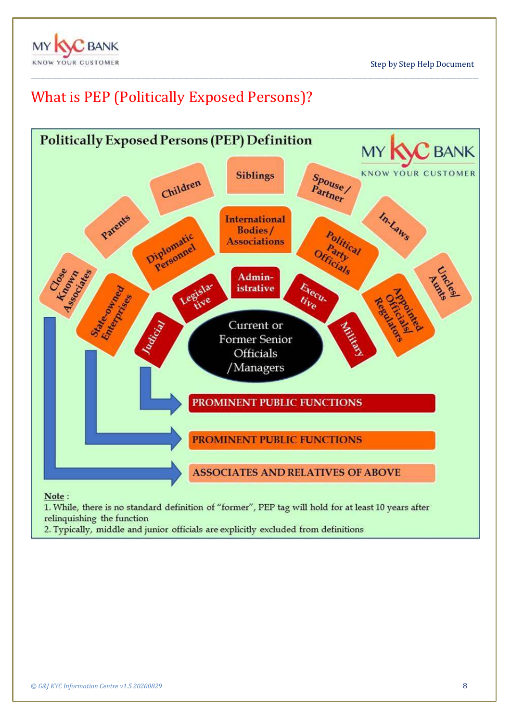

# <span id="page-7-0"></span>What is PEP (Politically Exposed Persons)?



\_\_\_\_\_\_\_\_\_\_\_\_\_\_\_\_\_\_\_\_\_\_\_\_\_\_\_\_\_\_\_\_\_\_\_\_\_\_\_\_\_\_\_\_\_\_\_\_\_\_\_\_\_\_\_\_\_\_\_\_\_\_\_\_\_\_\_\_\_\_\_\_\_\_\_\_\_\_\_\_\_\_\_\_\_\_\_\_\_\_\_\_\_\_\_\_\_\_\_\_\_\_\_\_\_\_\_\_\_\_\_\_\_\_\_\_\_\_\_\_\_\_\_\_\_\_\_\_\_\_\_\_\_\_\_\_\_\_\_\_\_

relinquishing the function

2. Typically, middle and junior officials are explicitly excluded from definitions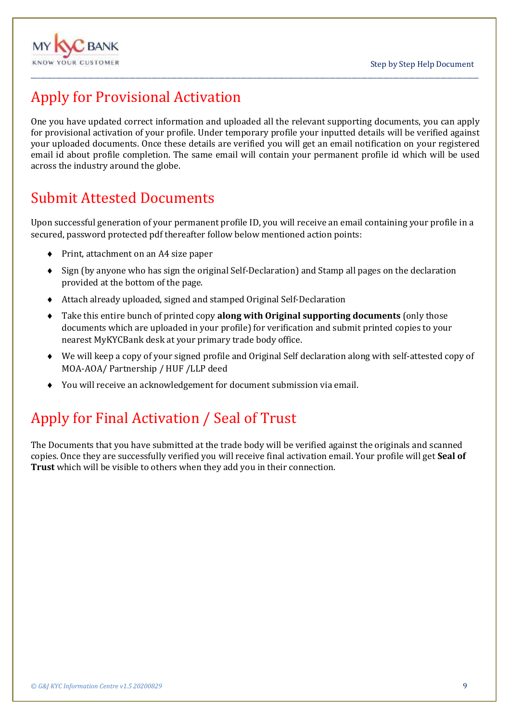

# <span id="page-8-0"></span>Apply for Provisional Activation

One you have updated correct information and uploaded all the relevant supporting documents, you can apply for provisional activation of your profile. Under temporary profile your inputted details will be verified against your uploaded documents. Once these details are verified you will get an email notification on your registered email id about profile completion. The same email will contain your permanent profile id which will be used across the industry around the globe.

\_\_\_\_\_\_\_\_\_\_\_\_\_\_\_\_\_\_\_\_\_\_\_\_\_\_\_\_\_\_\_\_\_\_\_\_\_\_\_\_\_\_\_\_\_\_\_\_\_\_\_\_\_\_\_\_\_\_\_\_\_\_\_\_\_\_\_\_\_\_\_\_\_\_\_\_\_\_\_\_\_\_\_\_\_\_\_\_\_\_\_\_\_\_\_\_\_\_\_\_\_\_\_\_\_\_\_\_\_\_\_\_\_\_\_\_\_\_\_\_\_\_\_\_\_\_\_\_\_\_\_\_\_\_\_\_\_\_\_\_\_

# <span id="page-8-1"></span>Submit Attested Documents

Upon successful generation of your permanent profile ID, you will receive an email containing your profile in a secured, password protected pdf thereafter follow below mentioned action points:

- ◆ Print, attachment on an A4 size paper
- $\bullet$  Sign (by anyone who has sign the original Self-Declaration) and Stamp all pages on the declaration provided at the bottom of the page.
- Attach already uploaded, signed and stamped Original Self-Declaration
- Take this entire bunch of printed copy **along with Original supporting documents** (only those documents which are uploaded in your profile) for verification and submit printed copies to your nearest MyKYCBank desk at your primary trade body office.
- We will keep a copy of your signed profile and Original Self declaration along with self-attested copy of MOA-AOA/ Partnership / HUF /LLP deed
- You will receive an acknowledgement for document submission via email.

# <span id="page-8-2"></span>Apply for Final Activation / Seal of Trust

The Documents that you have submitted at the trade body will be verified against the originals and scanned copies. Once they are successfully verified you will receive final activation email. Your profile will get **Seal of Trust** which will be visible to others when they add you in their connection.